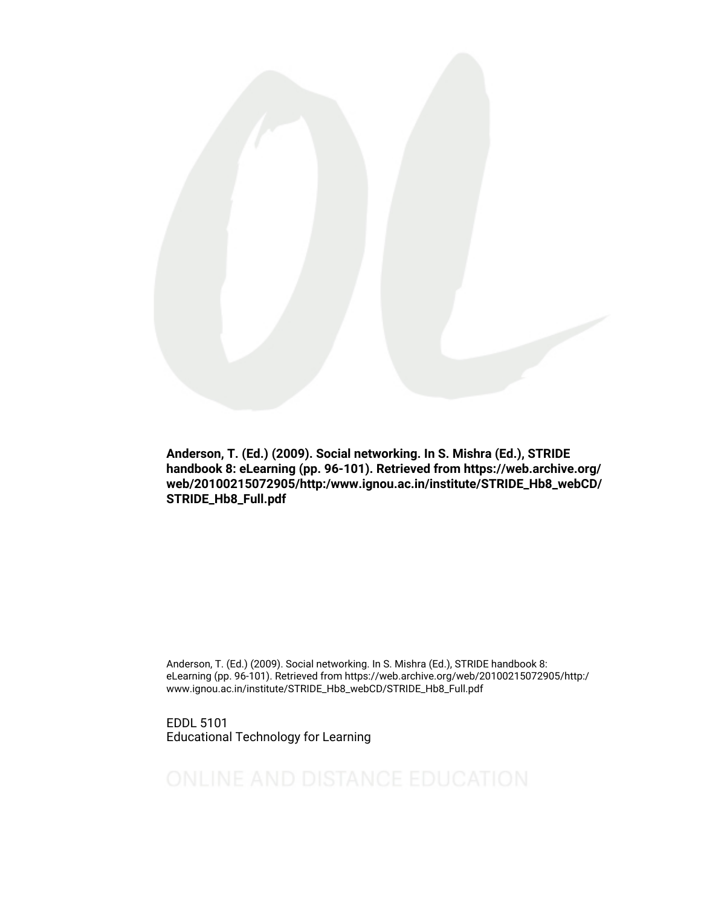

Anderson, T. (Ed.) (2009). Social networking. In S. Mishra (Ed.), STRIDE handbook 8: eLearning (pp. 96-101). Retrieved from https://web.archive.org/ web/20100215072905/http:/www.ignou.ac.in/institute/STRIDE\_Hb8\_webCD/ STRIDE\_Hb8\_Full.pdf

Anderson, T. (Ed.) (2009). Social networking. In S. Mishra (Ed.), STRIDE handbook 8: eLearning (pp. 96-101). Retrieved from https://web.archive.org/web/20100215072905/http:/ www.ignou.ac.in/institute/STRIDE\_Hb8\_webCD/STRIDE\_Hb8\_Full.pdf

EDDL 5101 Educational Technology for Learning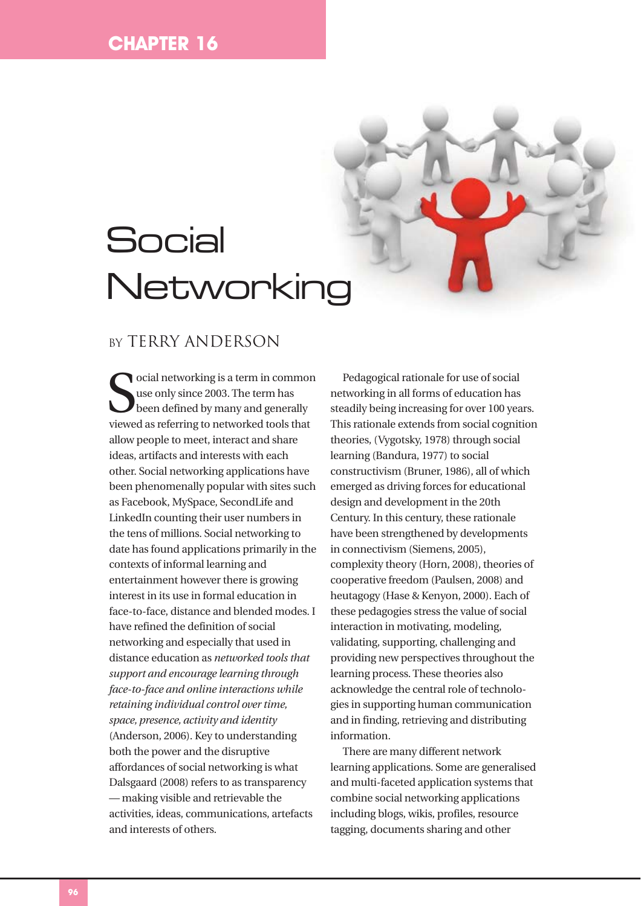# **Social** Networking

# BY TERRY ANDERSON

social networking is a term in common<br>use only since 2003. The term has<br>been defined by many and generally<br>viewed as referring to networked tools that ocial networking is a term in common use only since 2003. The term has been defined by many and generally allow people to meet, interact and share ideas, artifacts and interests with each other. Social networking applications have been phenomenally popular with sites such as Facebook, MySpace, SecondLife and LinkedIn counting their user numbers in the tens of millions. Social networking to date has found applications primarily in the contexts of informal learning and entertainment however there is growing interest in its use in formal education in face-to-face, distance and blended modes. I have refined the definition of social networking and especially that used in distance education as *networked tools that support and encourage learning through face-to-face and online interactions while retaining individual control over time, space, presence, activity and identity* (Anderson, 2006). Key to understanding both the power and the disruptive affordances of social networking is what Dalsgaard (2008) refers to as transparency — making visible and retrievable the activities, ideas, communications, artefacts and interests of others.

Pedagogical rationale for use of social networking in all forms of education has steadily being increasing for over 100 years. This rationale extends from social cognition theories, (Vygotsky, 1978) through social learning (Bandura, 1977) to social constructivism (Bruner, 1986), all of which emerged as driving forces for educational design and development in the 20th Century. In this century, these rationale have been strengthened by developments in connectivism (Siemens, 2005), complexity theory (Horn, 2008), theories of cooperative freedom (Paulsen, 2008) and heutagogy (Hase & Kenyon, 2000). Each of these pedagogies stress the value of social interaction in motivating, modeling, validating, supporting, challenging and providing new perspectives throughout the learning process. These theories also acknowledge the central role of technologies in supporting human communication and in finding, retrieving and distributing information.

There are many different network learning applications. Some are generalised and multi-faceted application systems that combine social networking applications including blogs, wikis, profiles, resource tagging, documents sharing and other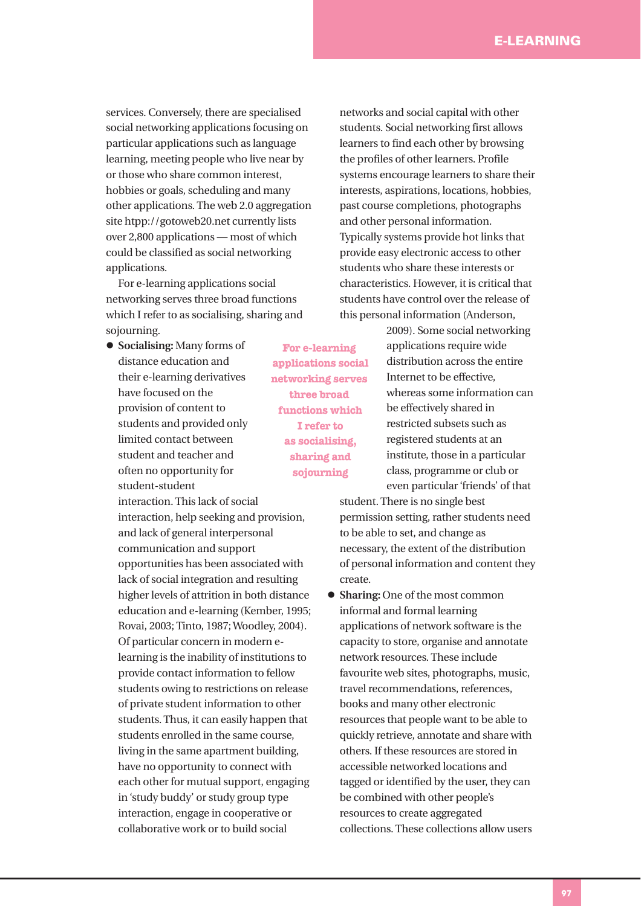services. Conversely, there are specialised social networking applications focusing on particular applications such as language learning, meeting people who live near by or those who share common interest, hobbies or goals, scheduling and many other applications. The web 2.0 aggregation site htpp://gotoweb20.net currently lists over 2,800 applications — most of which could be classified as social networking applications.

For e-learning applications social networking serves three broad functions which I refer to as socialising, sharing and sojourning.

 **Socialising:** Many forms of distance education and their e-learning derivatives have focused on the provision of content to students and provided only limited contact between student and teacher and often no opportunity for student-student

interaction. This lack of social interaction, help seeking and provision, and lack of general interpersonal communication and support opportunities has been associated with lack of social integration and resulting higher levels of attrition in both distance education and e-learning (Kember, 1995; Rovai, 2003; Tinto, 1987; Woodley, 2004). Of particular concern in modern elearning is the inability of institutions to provide contact information to fellow students owing to restrictions on release of private student information to other students. Thus, it can easily happen that students enrolled in the same course, living in the same apartment building, have no opportunity to connect with each other for mutual support, engaging in 'study buddy' or study group type interaction, engage in cooperative or collaborative work or to build social

**For e-learning applications social networking serves three broad functions which I refer to as socialising, sharing and sojourning**

networks and social capital with other students. Social networking first allows learners to find each other by browsing the profiles of other learners. Profile systems encourage learners to share their interests, aspirations, locations, hobbies, past course completions, photographs and other personal information. Typically systems provide hot links that provide easy electronic access to other students who share these interests or characteristics. However, it is critical that students have control over the release of this personal information (Anderson,

> 2009). Some social networking applications require wide distribution across the entire Internet to be effective, whereas some information can be effectively shared in restricted subsets such as registered students at an institute, those in a particular class, programme or club or even particular 'friends' of that

student. There is no single best permission setting, rather students need to be able to set, and change as necessary, the extent of the distribution of personal information and content they create.

 **Sharing:** One of the most common informal and formal learning applications of network software is the capacity to store, organise and annotate network resources. These include favourite web sites, photographs, music, travel recommendations, references, books and many other electronic resources that people want to be able to quickly retrieve, annotate and share with others. If these resources are stored in accessible networked locations and tagged or identified by the user, they can be combined with other people's resources to create aggregated collections. These collections allow users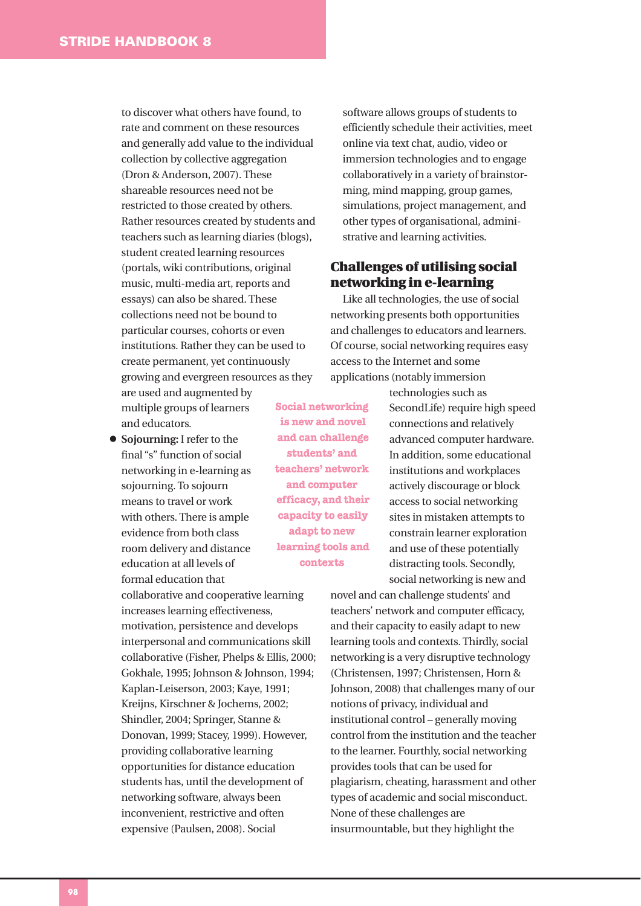to discover what others have found, to rate and comment on these resources and generally add value to the individual collection by collective aggregation (Dron & Anderson, 2007). These shareable resources need not be restricted to those created by others. Rather resources created by students and teachers such as learning diaries (blogs), student created learning resources (portals, wiki contributions, original music, multi-media art, reports and essays) can also be shared. These collections need not be bound to particular courses, cohorts or even institutions. Rather they can be used to create permanent, yet continuously growing and evergreen resources as they

are used and augmented by multiple groups of learners and educators.

 **Sojourning:** I refer to the final "s" function of social networking in e-learning as sojourning. To sojourn means to travel or work with others. There is ample evidence from both class room delivery and distance education at all levels of formal education that

collaborative and cooperative learning increases learning effectiveness, motivation, persistence and develops interpersonal and communications skill collaborative (Fisher, Phelps & Ellis, 2000; Gokhale, 1995; Johnson & Johnson, 1994; Kaplan-Leiserson, 2003; Kaye, 1991; Kreijns, Kirschner & Jochems, 2002; Shindler, 2004; Springer, Stanne & Donovan, 1999; Stacey, 1999). However, providing collaborative learning opportunities for distance education students has, until the development of networking software, always been inconvenient, restrictive and often expensive (Paulsen, 2008). Social

software allows groups of students to efficiently schedule their activities, meet online via text chat, audio, video or immersion technologies and to engage collaboratively in a variety of brainstorming, mind mapping, group games, simulations, project management, and other types of organisational, administrative and learning activities.

## **Challenges of utilising social networking in e-learning**

Like all technologies, the use of social networking presents both opportunities and challenges to educators and learners. Of course, social networking requires easy access to the Internet and some applications (notably immersion

> technologies such as SecondLife) require high speed connections and relatively advanced computer hardware. In addition, some educational institutions and workplaces actively discourage or block access to social networking sites in mistaken attempts to constrain learner exploration and use of these potentially distracting tools. Secondly, social networking is new and

novel and can challenge students' and teachers' network and computer efficacy, and their capacity to easily adapt to new learning tools and contexts. Thirdly, social networking is a very disruptive technology (Christensen, 1997; Christensen, Horn & Johnson, 2008) that challenges many of our notions of privacy, individual and institutional control – generally moving control from the institution and the teacher to the learner. Fourthly, social networking provides tools that can be used for plagiarism, cheating, harassment and other types of academic and social misconduct. None of these challenges are insurmountable, but they highlight the

**Social networking is new and novel and can challenge students' and teachers' network and computer efficacy, and their capacity to easily adapt to new learning tools and contexts**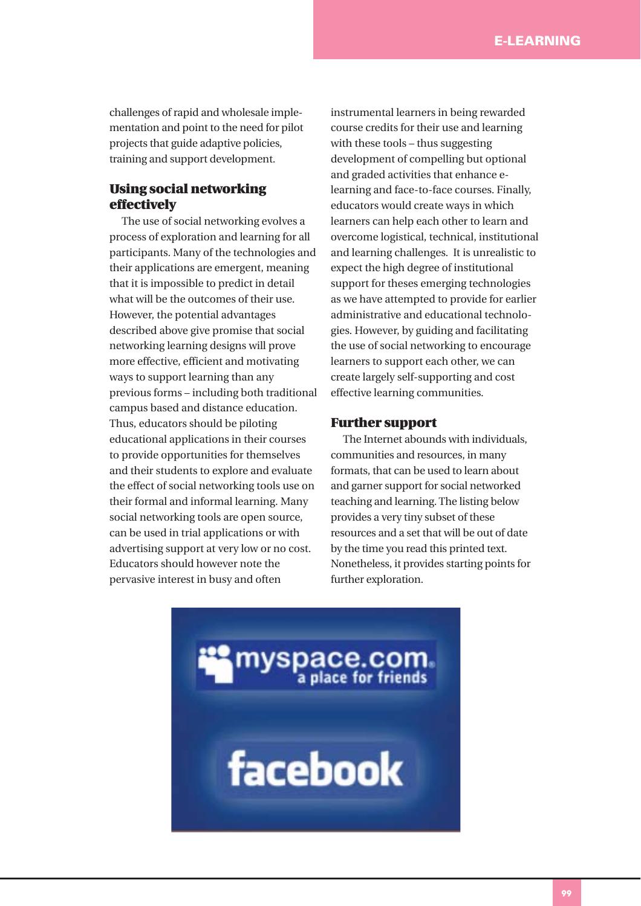challenges of rapid and wholesale implementation and point to the need for pilot projects that guide adaptive policies, training and support development.

## **Using social networking effectively**

The use of social networking evolves a process of exploration and learning for all participants. Many of the technologies and their applications are emergent, meaning that it is impossible to predict in detail what will be the outcomes of their use. However, the potential advantages described above give promise that social networking learning designs will prove more effective, efficient and motivating ways to support learning than any previous forms – including both traditional campus based and distance education. Thus, educators should be piloting educational applications in their courses to provide opportunities for themselves and their students to explore and evaluate the effect of social networking tools use on their formal and informal learning. Many social networking tools are open source, can be used in trial applications or with advertising support at very low or no cost. Educators should however note the pervasive interest in busy and often

instrumental learners in being rewarded course credits for their use and learning with these tools – thus suggesting development of compelling but optional and graded activities that enhance elearning and face-to-face courses. Finally, educators would create ways in which learners can help each other to learn and overcome logistical, technical, institutional and learning challenges. It is unrealistic to expect the high degree of institutional support for theses emerging technologies as we have attempted to provide for earlier administrative and educational technologies. However, by guiding and facilitating the use of social networking to encourage learners to support each other, we can create largely self-supporting and cost effective learning communities.

#### **Further support**

The Internet abounds with individuals, communities and resources, in many formats, that can be used to learn about and garner support for social networked teaching and learning. The listing below provides a very tiny subset of these resources and a set that will be out of date by the time you read this printed text. Nonetheless, it provides starting points for further exploration.

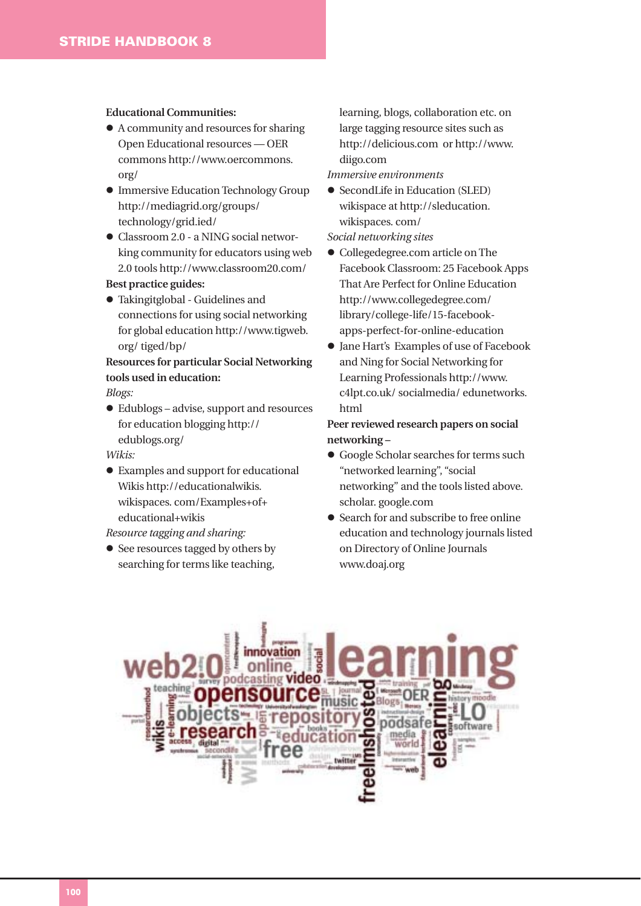#### **Educational Communities:**

- A community and resources for sharing Open Educational resources — OER commons http://www.oercommons. org/
- Immersive Education Technology Group http://mediagrid.org/groups/ technology/grid.ied/
- Classroom 2.0 a NING social networking community for educators using web 2.0 tools http://www.classroom20.com/ **Best practice guides:**
- Takingitglobal Guidelines and connections for using social networking for global education http://www.tigweb. org/ tiged/bp/

# **Resources for particular Social Networking tools used in education:**

*Blogs:* 

 Edublogs – advise, support and resources for education blogging http:// edublogs.org/

*Wikis:* 

 Examples and support for educational Wikis http://educationalwikis. wikispaces. com/Examples+of+ educational+wikis

#### *Resource tagging and sharing:*

• See resources tagged by others by searching for terms like teaching,

learning, blogs, collaboration etc. on large tagging resource sites such as http://delicious.com or http://www. diigo.com

*Immersive environments* 

 SecondLife in Education (SLED) wikispace at http://sleducation. wikispaces. com/

*Social networking sites* 

- Collegedegree.com article on The Facebook Classroom: 25 Facebook Apps That Are Perfect for Online Education http://www.collegedegree.com/ library/college-life/15-facebookapps-perfect-for-online-education
- Jane Hart's Examples of use of Facebook and Ning for Social Networking for Learning Professionals http://www. c4lpt.co.uk/ socialmedia/ edunetworks. html

## **Peer reviewed research papers on social networking –**

- Google Scholar searches for terms such "networked learning", "social networking" and the tools listed above. scholar. google.com
- Search for and subscribe to free online education and technology journals listed on Directory of Online Journals www.doaj.org